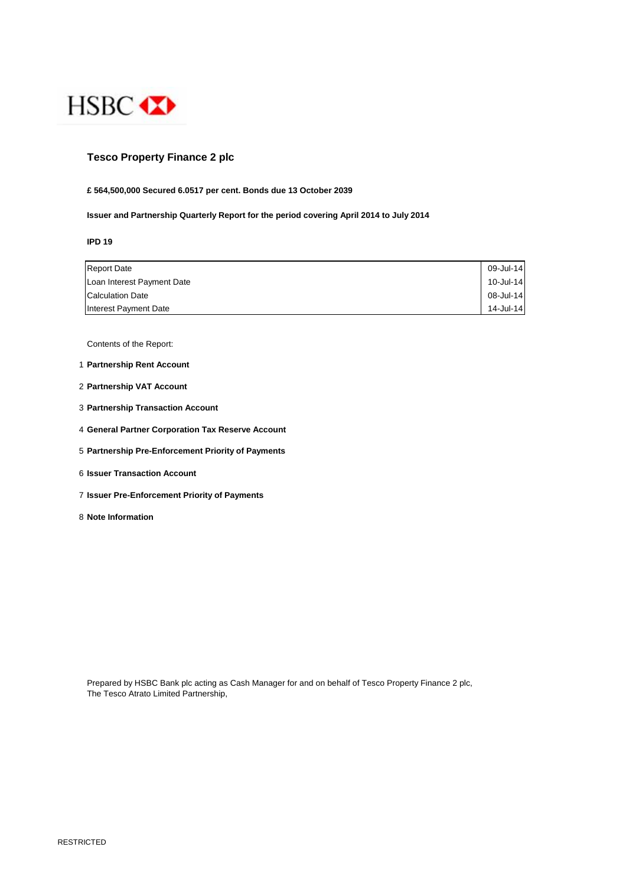

# **Tesco Property Finance 2 plc**

## **£ 564,500,000 Secured 6.0517 per cent. Bonds due 13 October 2039**

**Issuer and Partnership Quarterly Report for the period covering April 2014 to July 2014**

**IPD 19**

| <b>Report Date</b>         | 09-Jul-14 |
|----------------------------|-----------|
| Loan Interest Payment Date | 10-Jul-14 |
| <b>Calculation Date</b>    | 08-Jul-14 |
| Interest Payment Date      | 14-Jul-14 |

Contents of the Report:

- 1 **Partnership Rent Account**
- 2 **Partnership VAT Account**
- 3 **Partnership Transaction Account**
- 4 **General Partner Corporation Tax Reserve Account**
- 5 **Partnership Pre-Enforcement Priority of Payments**
- 6 **Issuer Transaction Account**
- 7 **Issuer Pre-Enforcement Priority of Payments**
- 8 **Note Information**

Prepared by HSBC Bank plc acting as Cash Manager for and on behalf of Tesco Property Finance 2 plc, The Tesco Atrato Limited Partnership,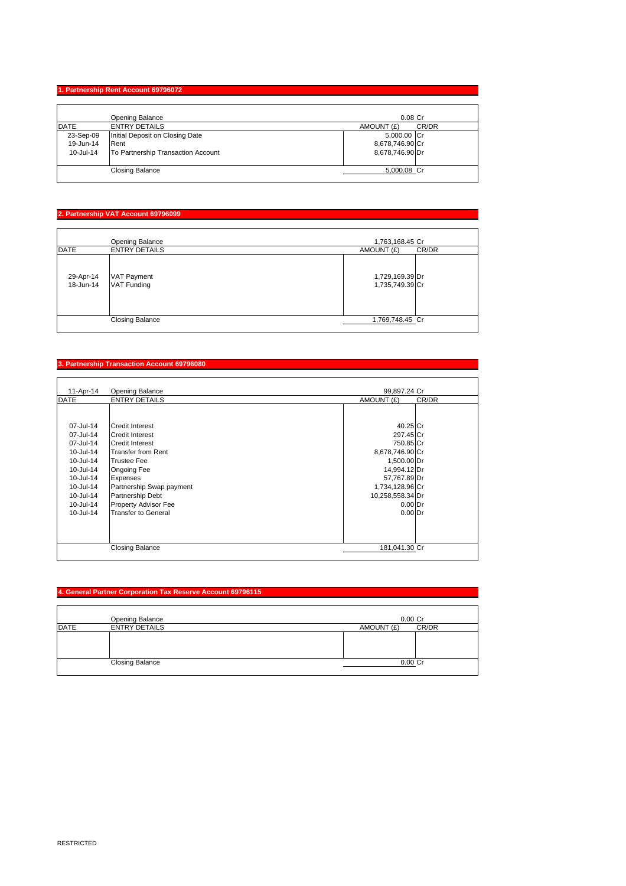## **1. Partnership Rent Account 69796072**

|             | Opening Balance                    | $0.08$ Cr           |
|-------------|------------------------------------|---------------------|
| <b>DATE</b> | <b>ENTRY DETAILS</b>               | CR/DR<br>AMOUNT (£) |
| 23-Sep-09   | Initial Deposit on Closing Date    | 5,000.00 Cr         |
| 19-Jun-14   | Rent                               | 8,678,746.90 Cr     |
| 10-Jul-14   | To Partnership Transaction Account | 8,678,746.90 Dr     |
|             | <b>Closing Balance</b>             | 5,000.08 Cr         |

# **2. Partnership VAT Account 69796099**

|                        | Opening Balance                          | 1,763,168.45 Cr                    |
|------------------------|------------------------------------------|------------------------------------|
| <b>DATE</b>            | <b>ENTRY DETAILS</b>                     | CR/DR<br>AMOUNT (£)                |
| 29-Apr-14<br>18-Jun-14 | <b>VAT Payment</b><br><b>VAT Funding</b> | 1,729,169.39 Dr<br>1,735,749.39 Cr |
|                        | <b>Closing Balance</b>                   | 1,769,748.45 Cr                    |

#### **3. Partnership Transaction Account 69796080**

| 11-Apr-14   | <b>Opening Balance</b>      | 99,897.24 Cr     |       |
|-------------|-----------------------------|------------------|-------|
| <b>DATE</b> | <b>ENTRY DETAILS</b>        | AMOUNT (£)       | CR/DR |
|             |                             |                  |       |
| 07-Jul-14   | <b>Credit Interest</b>      | 40.25 Cr         |       |
| 07-Jul-14   | Credit Interest             | 297.45 Cr        |       |
| 07-Jul-14   | <b>Credit Interest</b>      | 750.85 Cr        |       |
| 10-Jul-14   | <b>Transfer from Rent</b>   | 8,678,746.90 Cr  |       |
| 10-Jul-14   | <b>Trustee Fee</b>          | 1,500.00 Dr      |       |
| 10-Jul-14   | Ongoing Fee                 | 14,994.12 Dr     |       |
| 10-Jul-14   | <b>Expenses</b>             | 57,767.89 Dr     |       |
| 10-Jul-14   | Partnership Swap payment    | 1,734,128.96 Cr  |       |
| 10-Jul-14   | <b>Partnership Debt</b>     | 10,258,558.34 Dr |       |
| 10-Jul-14   | <b>Property Advisor Fee</b> | $0.00$ Dr        |       |
| 10-Jul-14   | <b>Transfer to General</b>  | $0.00$ Dr        |       |
|             |                             |                  |       |
|             |                             |                  |       |
|             |                             |                  |       |
|             | <b>Closing Balance</b>      | 181,041.30 Cr    |       |
|             |                             |                  |       |

## **4. General Partner Corporation Tax Reserve Account 69796115**

|             | Opening Balance        | $0.00$ $Cr$         |
|-------------|------------------------|---------------------|
| <b>DATE</b> | <b>ENTRY DETAILS</b>   | CR/DR<br>AMOUNT (£) |
|             |                        |                     |
|             |                        |                     |
|             |                        |                     |
|             | <b>Closing Balance</b> | 0.00 Cr             |
|             |                        |                     |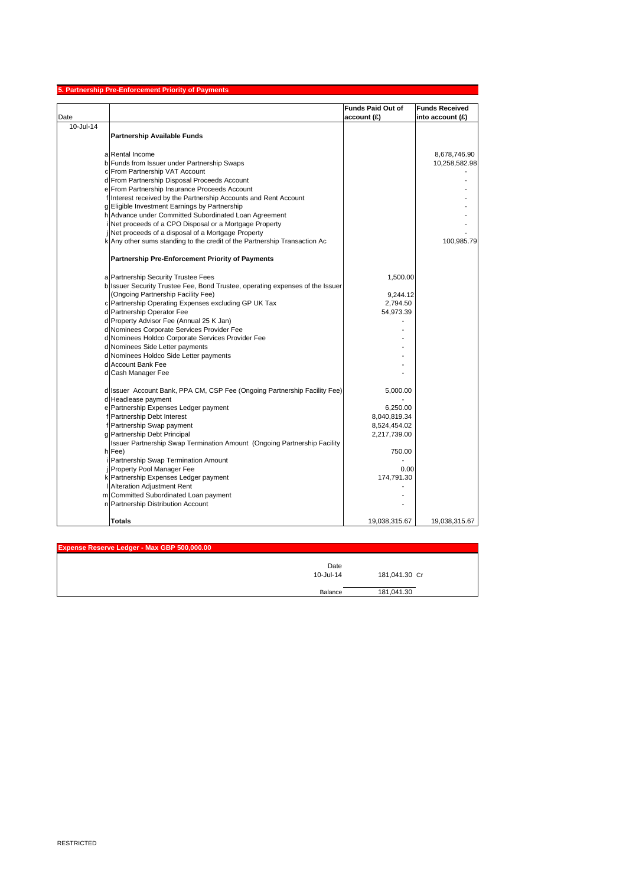|           | 5. Partnership Pre-Enforcement Priority of Payments                                                                  |                          |                       |
|-----------|----------------------------------------------------------------------------------------------------------------------|--------------------------|-----------------------|
|           |                                                                                                                      | <b>Funds Paid Out of</b> | <b>Funds Received</b> |
| Date      |                                                                                                                      | account (£)              | into account (£)      |
| 10-Jul-14 |                                                                                                                      |                          |                       |
|           | <b>Partnership Available Funds</b>                                                                                   |                          |                       |
|           |                                                                                                                      |                          |                       |
|           | a Rental Income                                                                                                      |                          | 8,678,746.90          |
|           | b Funds from Issuer under Partnership Swaps                                                                          |                          | 10,258,582.98         |
|           | c From Partnership VAT Account                                                                                       |                          |                       |
|           | d From Partnership Disposal Proceeds Account                                                                         |                          |                       |
|           | e From Partnership Insurance Proceeds Account                                                                        |                          |                       |
|           | f Interest received by the Partnership Accounts and Rent Account                                                     |                          |                       |
|           | g Eligible Investment Earnings by Partnership                                                                        |                          |                       |
|           | h Advance under Committed Subordinated Loan Agreement                                                                |                          |                       |
|           | Net proceeds of a CPO Disposal or a Mortgage Property                                                                |                          |                       |
|           | Net proceeds of a disposal of a Mortgage Property                                                                    |                          |                       |
|           | k Any other sums standing to the credit of the Partnership Transaction Ac                                            |                          | 100,985.79            |
|           | <b>Partnership Pre-Enforcement Priority of Payments</b>                                                              |                          |                       |
|           |                                                                                                                      |                          |                       |
|           | a Partnership Security Trustee Fees<br>b Issuer Security Trustee Fee, Bond Trustee, operating expenses of the Issuer | 1,500.00                 |                       |
|           | (Ongoing Partnership Facility Fee)                                                                                   | 9,244.12                 |                       |
|           | c Partnership Operating Expenses excluding GP UK Tax                                                                 | 2,794.50                 |                       |
|           | d Partnership Operator Fee                                                                                           | 54,973.39                |                       |
|           | d Property Advisor Fee (Annual 25 K Jan)                                                                             |                          |                       |
|           | d Nominees Corporate Services Provider Fee                                                                           |                          |                       |
|           | d Nominees Holdco Corporate Services Provider Fee                                                                    |                          |                       |
|           | d Nominees Side Letter payments                                                                                      |                          |                       |
|           | d Nominees Holdco Side Letter payments                                                                               |                          |                       |
|           | d Account Bank Fee                                                                                                   |                          |                       |
|           | d Cash Manager Fee                                                                                                   |                          |                       |
|           |                                                                                                                      |                          |                       |
|           | d Issuer Account Bank, PPA CM, CSP Fee (Ongoing Partnership Facility Fee)                                            | 5,000.00                 |                       |
|           | d Headlease payment                                                                                                  |                          |                       |
|           | e Partnership Expenses Ledger payment                                                                                | 6,250.00                 |                       |
|           | f Partnership Debt Interest                                                                                          | 8,040,819.34             |                       |
|           | Partnership Swap payment                                                                                             | 8,524,454.02             |                       |
|           | g Partnership Debt Principal                                                                                         | 2,217,739.00             |                       |
|           | Issuer Partnership Swap Termination Amount (Ongoing Partnership Facility                                             |                          |                       |
|           | h Fee)                                                                                                               | 750.00                   |                       |
|           | Partnership Swap Termination Amount<br>j Property Pool Manager Fee                                                   | 0.00                     |                       |
|           | k Partnership Expenses Ledger payment                                                                                | 174,791.30               |                       |
|           | I Alteration Adjustment Rent                                                                                         |                          |                       |
|           | m Committed Subordinated Loan payment                                                                                |                          |                       |
|           | n Partnership Distribution Account                                                                                   |                          |                       |
|           |                                                                                                                      |                          |                       |
|           | <b>Totals</b>                                                                                                        | 19,038,315.67            | 19,038,315.67         |

| Expense Reserve Ledger - Max GBP 500,000.00 |         |               |
|---------------------------------------------|---------|---------------|
| 10-Jul-14                                   | Date    | 181,041.30 Cr |
|                                             | Balance | 181,041.30    |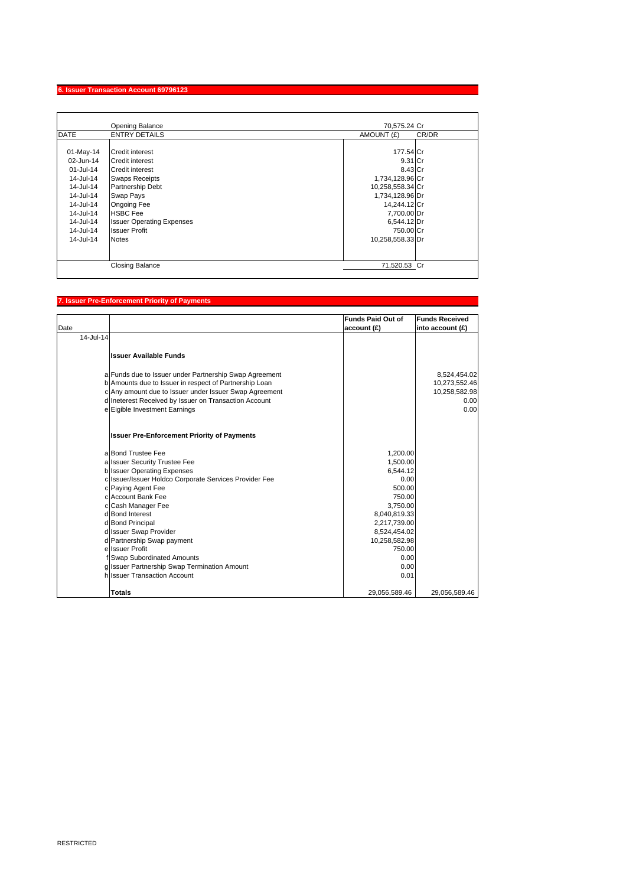### **6. Issuer Transaction Account 69796123**

|                                                                                                                                                     | <b>Opening Balance</b>                                                                                                                                                                                                                             | 70.575.24 Cr                                                                                                                                                             |       |
|-----------------------------------------------------------------------------------------------------------------------------------------------------|----------------------------------------------------------------------------------------------------------------------------------------------------------------------------------------------------------------------------------------------------|--------------------------------------------------------------------------------------------------------------------------------------------------------------------------|-------|
| <b>DATE</b>                                                                                                                                         | <b>ENTRY DETAILS</b>                                                                                                                                                                                                                               | AMOUNT (£)                                                                                                                                                               | CR/DR |
| $01-May-14$<br>02-Jun-14<br>01-Jul-14<br>$14$ -Jul-14<br>14-Jul-14<br>14-Jul-14<br>14-Jul-14<br>14-Jul-14<br>14-Jul-14<br>14-Jul-14<br>$14$ -Jul-14 | Credit interest<br>Credit interest<br><b>Credit interest</b><br><b>Swaps Receipts</b><br><b>Partnership Debt</b><br>Swap Pays<br><b>Ongoing Fee</b><br><b>HSBC</b> Fee<br><b>Issuer Operating Expenses</b><br><b>Issuer Profit</b><br><b>Notes</b> | 177.54 Cr<br>9.31 Cr<br>8.43 Cr<br>1,734,128.96 Cr<br>10,258,558.34 Cr<br>1,734,128.96 Dr<br>14,244.12 Cr<br>7,700.00 Dr<br>6,544.12 Dr<br>750.00 Cr<br>10,258,558.33 Dr |       |
|                                                                                                                                                     | <b>Closing Balance</b>                                                                                                                                                                                                                             | 71,520.53 Cr                                                                                                                                                             |       |

## **7. Issuer Pre-Enforcement Priority of Payments**

| Date      |                                                        | <b>Funds Paid Out of</b><br>account (£) | <b>Funds Received</b><br>into account (£) |
|-----------|--------------------------------------------------------|-----------------------------------------|-------------------------------------------|
| 14-Jul-14 |                                                        |                                         |                                           |
|           | <b>Issuer Available Funds</b>                          |                                         |                                           |
|           | a Funds due to Issuer under Partnership Swap Agreement |                                         | 8,524,454.02                              |
|           | b Amounts due to Issuer in respect of Partnership Loan |                                         | 10,273,552.46                             |
|           | c Any amount due to Issuer under Issuer Swap Agreement |                                         | 10,258,582.98                             |
|           | d Ineterest Received by Issuer on Transaction Account  |                                         | 0.00                                      |
|           | e Eigible Investment Earnings                          |                                         | 0.00                                      |
|           | <b>Issuer Pre-Enforcement Priority of Payments</b>     |                                         |                                           |
|           | a Bond Trustee Fee                                     | 1,200.00                                |                                           |
|           | a Issuer Security Trustee Fee                          | 1,500.00                                |                                           |
|           | <b>b</b> Issuer Operating Expenses                     | 6.544.12                                |                                           |
|           | c Issuer/Issuer Holdco Corporate Services Provider Fee | 0.00                                    |                                           |
|           | c Paying Agent Fee                                     | 500.00                                  |                                           |
|           | c Account Bank Fee                                     | 750.00                                  |                                           |
|           | c Cash Manager Fee                                     | 3,750.00                                |                                           |
|           | d Bond Interest                                        | 8,040,819.33                            |                                           |
|           | d Bond Principal<br>d Issuer Swap Provider             | 2,217,739.00                            |                                           |
|           | d Partnership Swap payment                             | 8,524,454.02<br>10,258,582.98           |                                           |
|           | e Issuer Profit                                        | 750.00                                  |                                           |
|           | f Swap Subordinated Amounts                            | 0.00                                    |                                           |
|           | g Issuer Partnership Swap Termination Amount           | 0.00                                    |                                           |
|           | hilssuer Transaction Account                           | 0.01                                    |                                           |
|           | <b>Totals</b>                                          | 29,056,589.46                           | 29,056,589.46                             |